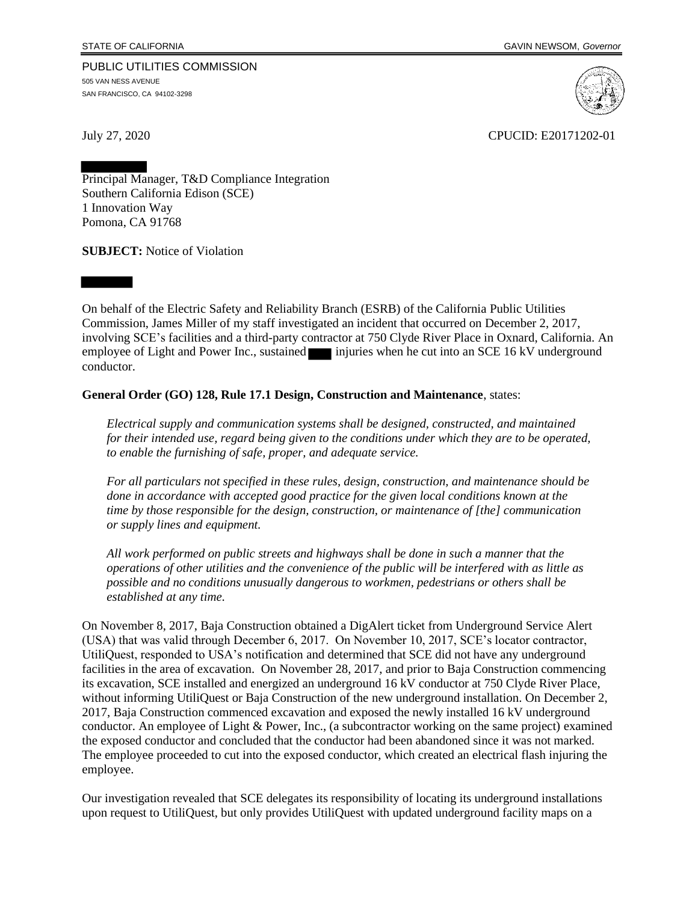PUBLIC UTILITIES COMMISSION 505 VAN NESS AVENUE SAN FRANCISCO, CA 94102-3298



July 27, 2020 CPUCID: E20171202-01

Principal Manager, T&D Compliance Integration Southern California Edison (SCE) 1 Innovation Way Pomona, CA 91768

**SUBJECT:** Notice of Violation

On behalf of the Electric Safety and Reliability Branch (ESRB) of the California Public Utilities Commission, James Miller of my staff investigated an incident that occurred on December 2, 2017, involving SCE's facilities and a third-party contractor at 750 Clyde River Place in Oxnard, California. An employee of Light and Power Inc., sustained injuries when he cut into an SCE 16 kV underground conductor.

## **General Order (GO) 128, Rule 17.1 Design, Construction and Maintenance**, states:

*Electrical supply and communication systems shall be designed, constructed, and maintained for their intended use, regard being given to the conditions under which they are to be operated, to enable the furnishing of safe, proper, and adequate service.*

*For all particulars not specified in these rules, design, construction, and maintenance should be done in accordance with accepted good practice for the given local conditions known at the time by those responsible for the design, construction, or maintenance of [the] communication or supply lines and equipment.*

*All work performed on public streets and highways shall be done in such a manner that the operations of other utilities and the convenience of the public will be interfered with as little as possible and no conditions unusually dangerous to workmen, pedestrians or others shall be established at any time.*

On November 8, 2017, Baja Construction obtained a DigAlert ticket from Underground Service Alert (USA) that was valid through December 6, 2017. On November 10, 2017, SCE's locator contractor, UtiliQuest, responded to USA's notification and determined that SCE did not have any underground facilities in the area of excavation. On November 28, 2017, and prior to Baja Construction commencing its excavation, SCE installed and energized an underground 16 kV conductor at 750 Clyde River Place, without informing UtiliQuest or Baja Construction of the new underground installation. On December 2, 2017, Baja Construction commenced excavation and exposed the newly installed 16 kV underground conductor. An employee of Light & Power, Inc., (a subcontractor working on the same project) examined the exposed conductor and concluded that the conductor had been abandoned since it was not marked. The employee proceeded to cut into the exposed conductor, which created an electrical flash injuring the employee.

Our investigation revealed that SCE delegates its responsibility of locating its underground installations upon request to UtiliQuest, but only provides UtiliQuest with updated underground facility maps on a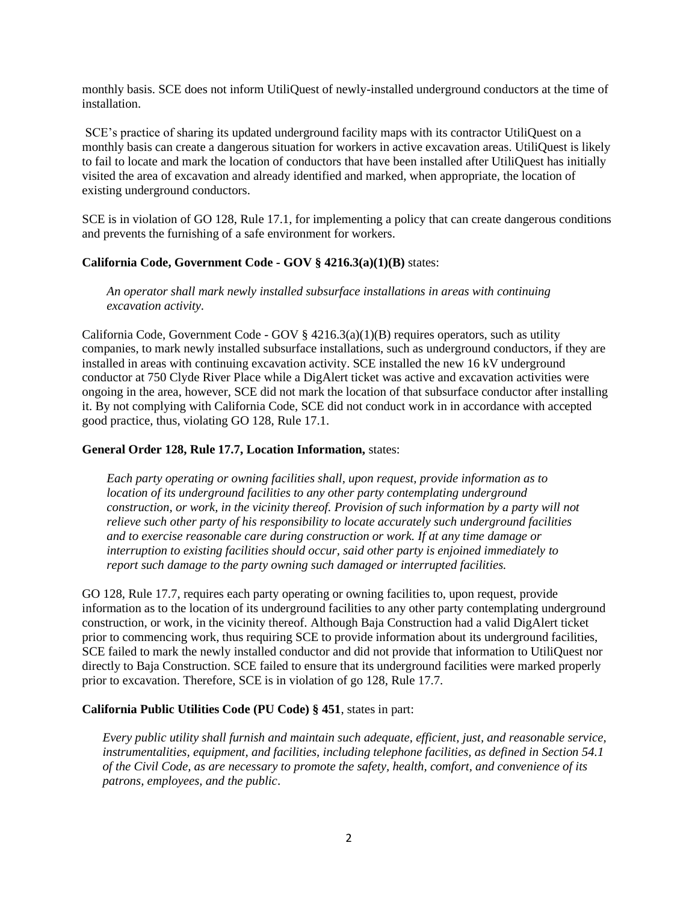monthly basis. SCE does not inform UtiliQuest of newly-installed underground conductors at the time of installation.

SCE's practice of sharing its updated underground facility maps with its contractor UtiliQuest on a monthly basis can create a dangerous situation for workers in active excavation areas. UtiliQuest is likely to fail to locate and mark the location of conductors that have been installed after UtiliQuest has initially visited the area of excavation and already identified and marked, when appropriate, the location of existing underground conductors.

SCE is in violation of GO 128, Rule 17.1, for implementing a policy that can create dangerous conditions and prevents the furnishing of a safe environment for workers.

## **California Code, Government Code - GOV § 4216.3(a)(1)(B)** states:

*An operator shall mark newly installed subsurface installations in areas with continuing excavation activity.*

California Code, Government Code - GOV  $\S$  4216.3(a)(1)(B) requires operators, such as utility companies, to mark newly installed subsurface installations, such as underground conductors, if they are installed in areas with continuing excavation activity. SCE installed the new 16 kV underground conductor at 750 Clyde River Place while a DigAlert ticket was active and excavation activities were ongoing in the area, however, SCE did not mark the location of that subsurface conductor after installing it. By not complying with California Code, SCE did not conduct work in in accordance with accepted good practice, thus, violating GO 128, Rule 17.1.

## **General Order 128, Rule 17.7, Location Information,** states:

*Each party operating or owning facilities shall, upon request, provide information as to location of its underground facilities to any other party contemplating underground construction, or work, in the vicinity thereof. Provision of such information by a party will not relieve such other party of his responsibility to locate accurately such underground facilities and to exercise reasonable care during construction or work. If at any time damage or interruption to existing facilities should occur, said other party is enjoined immediately to report such damage to the party owning such damaged or interrupted facilities.*

GO 128, Rule 17.7, requires each party operating or owning facilities to, upon request, provide information as to the location of its underground facilities to any other party contemplating underground construction, or work, in the vicinity thereof. Although Baja Construction had a valid DigAlert ticket prior to commencing work, thus requiring SCE to provide information about its underground facilities, SCE failed to mark the newly installed conductor and did not provide that information to UtiliQuest nor directly to Baja Construction. SCE failed to ensure that its underground facilities were marked properly prior to excavation. Therefore, SCE is in violation of go 128, Rule 17.7.

## **California Public Utilities Code (PU Code) § 451**, states in part:

*Every public utility shall furnish and maintain such adequate, efficient, just, and reasonable service, instrumentalities, equipment, and facilities, including telephone facilities, as defined in Section 54.1 of the Civil Code, as are necessary to promote the safety, health, comfort, and convenience of its patrons, employees, and the public*.